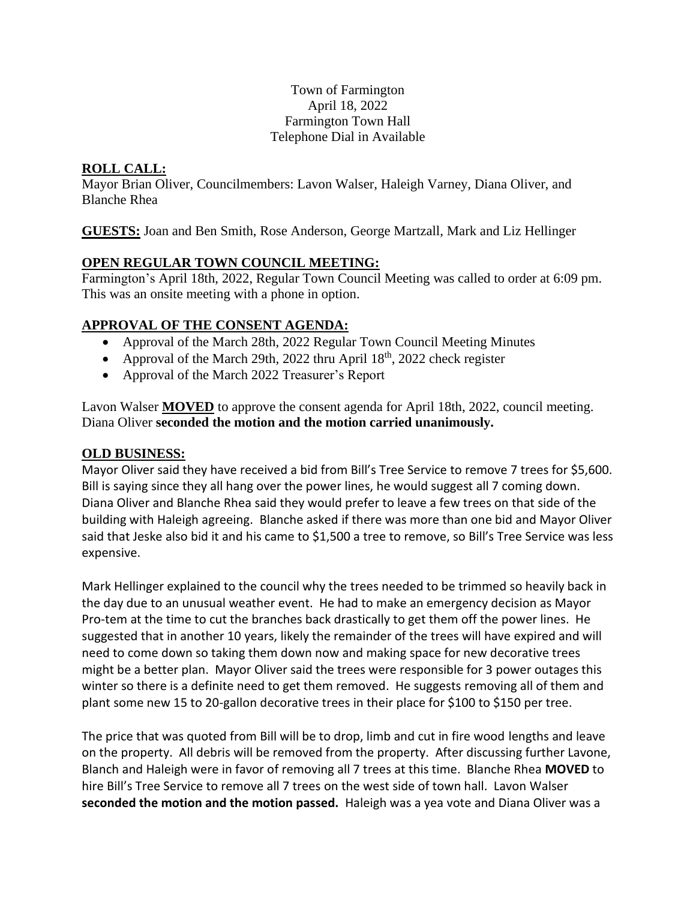#### Town of Farmington April 18, 2022 Farmington Town Hall Telephone Dial in Available

# **ROLL CALL:**

Mayor Brian Oliver, Councilmembers: Lavon Walser, Haleigh Varney, Diana Oliver, and Blanche Rhea

**GUESTS:** Joan and Ben Smith, Rose Anderson, George Martzall, Mark and Liz Hellinger

# **OPEN REGULAR TOWN COUNCIL MEETING:**

Farmington's April 18th, 2022, Regular Town Council Meeting was called to order at 6:09 pm. This was an onsite meeting with a phone in option.

# **APPROVAL OF THE CONSENT AGENDA:**

- Approval of the March 28th, 2022 Regular Town Council Meeting Minutes
- Approval of the March 29th, 2022 thru April 18<sup>th</sup>, 2022 check register
- Approval of the March 2022 Treasurer's Report

Lavon Walser **MOVED** to approve the consent agenda for April 18th, 2022, council meeting. Diana Oliver **seconded the motion and the motion carried unanimously.** 

### **OLD BUSINESS:**

Mayor Oliver said they have received a bid from Bill's Tree Service to remove 7 trees for \$5,600. Bill is saying since they all hang over the power lines, he would suggest all 7 coming down. Diana Oliver and Blanche Rhea said they would prefer to leave a few trees on that side of the building with Haleigh agreeing. Blanche asked if there was more than one bid and Mayor Oliver said that Jeske also bid it and his came to \$1,500 a tree to remove, so Bill's Tree Service was less expensive.

Mark Hellinger explained to the council why the trees needed to be trimmed so heavily back in the day due to an unusual weather event. He had to make an emergency decision as Mayor Pro-tem at the time to cut the branches back drastically to get them off the power lines. He suggested that in another 10 years, likely the remainder of the trees will have expired and will need to come down so taking them down now and making space for new decorative trees might be a better plan. Mayor Oliver said the trees were responsible for 3 power outages this winter so there is a definite need to get them removed. He suggests removing all of them and plant some new 15 to 20-gallon decorative trees in their place for \$100 to \$150 per tree.

The price that was quoted from Bill will be to drop, limb and cut in fire wood lengths and leave on the property. All debris will be removed from the property. After discussing further Lavone, Blanch and Haleigh were in favor of removing all 7 trees at this time. Blanche Rhea **MOVED** to hire Bill's Tree Service to remove all 7 trees on the west side of town hall. Lavon Walser **seconded the motion and the motion passed.** Haleigh was a yea vote and Diana Oliver was a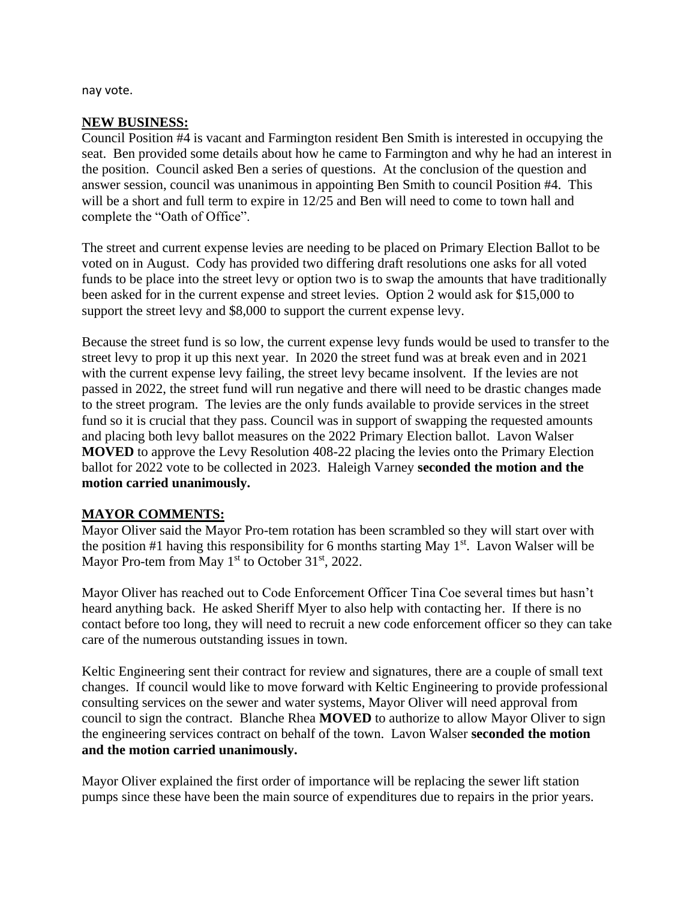nay vote.

#### **NEW BUSINESS:**

Council Position #4 is vacant and Farmington resident Ben Smith is interested in occupying the seat. Ben provided some details about how he came to Farmington and why he had an interest in the position. Council asked Ben a series of questions. At the conclusion of the question and answer session, council was unanimous in appointing Ben Smith to council Position #4. This will be a short and full term to expire in  $12/25$  and Ben will need to come to town hall and complete the "Oath of Office".

The street and current expense levies are needing to be placed on Primary Election Ballot to be voted on in August. Cody has provided two differing draft resolutions one asks for all voted funds to be place into the street levy or option two is to swap the amounts that have traditionally been asked for in the current expense and street levies. Option 2 would ask for \$15,000 to support the street levy and \$8,000 to support the current expense levy.

Because the street fund is so low, the current expense levy funds would be used to transfer to the street levy to prop it up this next year. In 2020 the street fund was at break even and in 2021 with the current expense levy failing, the street levy became insolvent. If the levies are not passed in 2022, the street fund will run negative and there will need to be drastic changes made to the street program. The levies are the only funds available to provide services in the street fund so it is crucial that they pass. Council was in support of swapping the requested amounts and placing both levy ballot measures on the 2022 Primary Election ballot. Lavon Walser **MOVED** to approve the Levy Resolution 408-22 placing the levies onto the Primary Election ballot for 2022 vote to be collected in 2023. Haleigh Varney **seconded the motion and the motion carried unanimously.** 

#### **MAYOR COMMENTS:**

Mayor Oliver said the Mayor Pro-tem rotation has been scrambled so they will start over with the position #1 having this responsibility for 6 months starting May  $1<sup>st</sup>$ . Lavon Walser will be Mayor Pro-tem from May  $1<sup>st</sup>$  to October 31<sup>st</sup>, 2022.

Mayor Oliver has reached out to Code Enforcement Officer Tina Coe several times but hasn't heard anything back. He asked Sheriff Myer to also help with contacting her. If there is no contact before too long, they will need to recruit a new code enforcement officer so they can take care of the numerous outstanding issues in town.

Keltic Engineering sent their contract for review and signatures, there are a couple of small text changes. If council would like to move forward with Keltic Engineering to provide professional consulting services on the sewer and water systems, Mayor Oliver will need approval from council to sign the contract. Blanche Rhea **MOVED** to authorize to allow Mayor Oliver to sign the engineering services contract on behalf of the town. Lavon Walser **seconded the motion and the motion carried unanimously.** 

Mayor Oliver explained the first order of importance will be replacing the sewer lift station pumps since these have been the main source of expenditures due to repairs in the prior years.